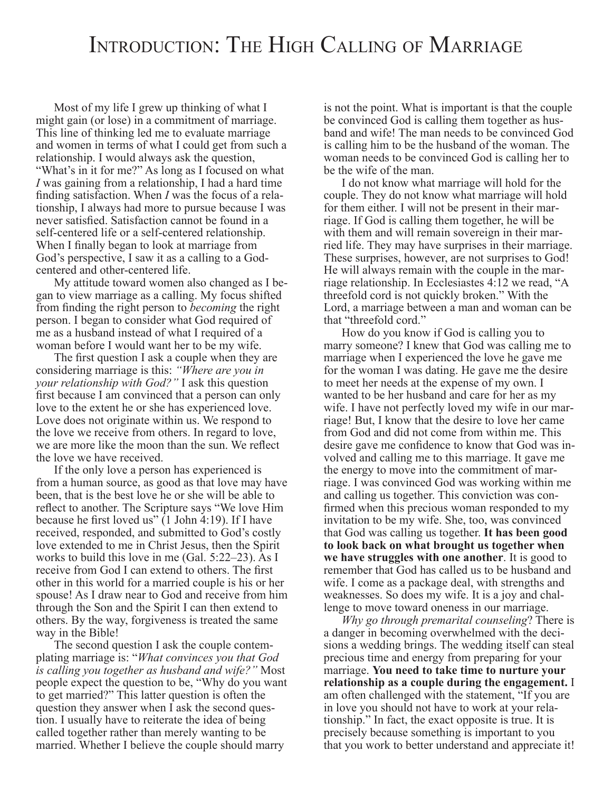## INTRODUCTION: THE HIGH CALLING OF MARRIAGE

Most of my life I grew up thinking of what I might gain (or lose) in a commitment of marriage. This line of thinking led me to evaluate marriage and women in terms of what I could get from such a relationship. I would always ask the question, "What's in it for me?" As long as I focused on what *I* was gaining from a relationship, I had a hard time finding satisfaction. When *I* was the focus of a relationship, I always had more to pursue because I was never satisfied. Satisfaction cannot be found in a self-centered life or a self-centered relationship. When I finally began to look at marriage from God's perspective, I saw it as a calling to a Godcentered and other-centered life.

My attitude toward women also changed as I began to view marriage as a calling. My focus shifted from finding the right person to *becoming* the right person. I began to consider what God required of me as a husband instead of what I required of a woman before I would want her to be my wife.

The first question I ask a couple when they are considering marriage is this: *"Where are you in your relationship with God?"* I ask this question first because I am convinced that a person can only love to the extent he or she has experienced love. Love does not originate within us. We respond to the love we receive from others. In regard to love, we are more like the moon than the sun. We reflect the love we have received.

If the only love a person has experienced is from a human source, as good as that love may have been, that is the best love he or she will be able to reflect to another. The Scripture says "We love Him because he first loved us" (1 John 4:19). If I have received, responded, and submitted to God's costly love extended to me in Christ Jesus, then the Spirit works to build this love in me (Gal. 5:22–23). As I receive from God I can extend to others. The first other in this world for a married couple is his or her spouse! As I draw near to God and receive from him through the Son and the Spirit I can then extend to others. By the way, forgiveness is treated the same way in the Bible!

The second question I ask the couple contemplating marriage is: "*What convinces you that God is calling you together as husband and wife?"* Most people expect the question to be, "Why do you want to get married?" This latter question is often the question they answer when I ask the second question. I usually have to reiterate the idea of being called together rather than merely wanting to be married. Whether I believe the couple should marry

is not the point. What is important is that the couple be convinced God is calling them together as husband and wife! The man needs to be convinced God is calling him to be the husband of the woman. The woman needs to be convinced God is calling her to be the wife of the man.

I do not know what marriage will hold for the couple. They do not know what marriage will hold for them either. I will not be present in their marriage. If God is calling them together, he will be with them and will remain sovereign in their married life. They may have surprises in their marriage. These surprises, however, are not surprises to God! He will always remain with the couple in the marriage relationship. In Ecclesiastes 4:12 we read, "A threefold cord is not quickly broken." With the Lord, a marriage between a man and woman can be that "threefold cord."

How do you know if God is calling you to marry someone? I knew that God was calling me to marriage when I experienced the love he gave me for the woman I was dating. He gave me the desire to meet her needs at the expense of my own. I wanted to be her husband and care for her as my wife. I have not perfectly loved my wife in our marriage! But, I know that the desire to love her came from God and did not come from within me. This desire gave me confidence to know that God was involved and calling me to this marriage. It gave me the energy to move into the commitment of marriage. I was convinced God was working within me and calling us together. This conviction was confirmed when this precious woman responded to my invitation to be my wife. She, too, was convinced that God was calling us together. **It has been good to look back on what brought us together when we have struggles with one another**. It is good to remember that God has called us to be husband and wife. I come as a package deal, with strengths and weaknesses. So does my wife. It is a joy and challenge to move toward oneness in our marriage.

*Why go through premarital counseling*? There is a danger in becoming overwhelmed with the decisions a wedding brings. The wedding itself can steal precious time and energy from preparing for your marriage. **You need to take time to nurture your relationship as a couple during the engagement.** I am often challenged with the statement, "If you are in love you should not have to work at your relationship." In fact, the exact opposite is true. It is precisely because something is important to you that you work to better understand and appreciate it!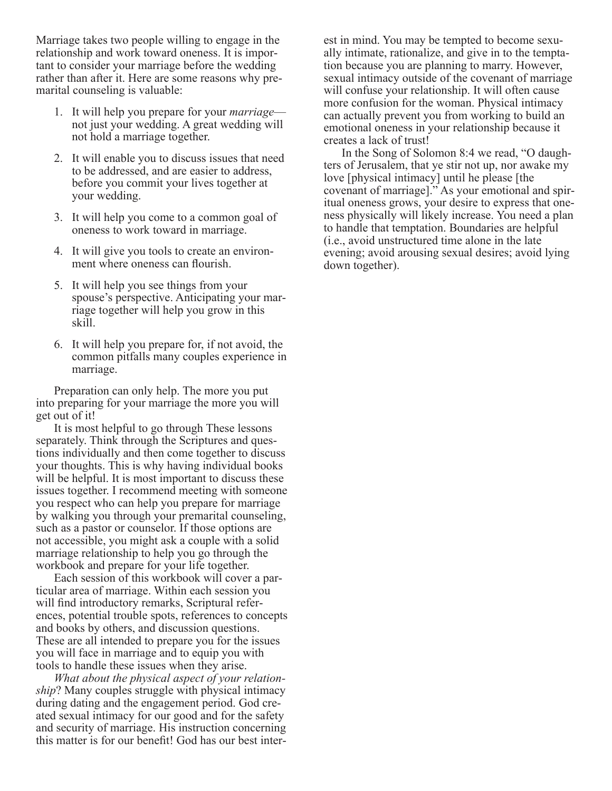Marriage takes two people willing to engage in the relationship and work toward oneness. It is important to consider your marriage before the wedding rather than after it. Here are some reasons why premarital counseling is valuable:

- 1. It will help you prepare for your *marriage* not just your wedding. A great wedding will not hold a marriage together.
- 2. It will enable you to discuss issues that need to be addressed, and are easier to address, before you commit your lives together at your wedding.
- 3. It will help you come to a common goal of oneness to work toward in marriage.
- 4. It will give you tools to create an environment where oneness can flourish.
- 5. It will help you see things from your spouse's perspective. Anticipating your marriage together will help you grow in this skill.
- 6. It will help you prepare for, if not avoid, the common pitfalls many couples experience in marriage.

Preparation can only help. The more you put into preparing for your marriage the more you will get out of it!

It is most helpful to go through These lessons separately. Think through the Scriptures and questions individually and then come together to discuss your thoughts. This is why having individual books will be helpful. It is most important to discuss these issues together. I recommend meeting with someone you respect who can help you prepare for marriage by walking you through your premarital counseling, such as a pastor or counselor. If those options are not accessible, you might ask a couple with a solid marriage relationship to help you go through the workbook and prepare for your life together.

Each session of this workbook will cover a particular area of marriage. Within each session you will find introductory remarks, Scriptural references, potential trouble spots, references to concepts and books by others, and discussion questions. These are all intended to prepare you for the issues you will face in marriage and to equip you with tools to handle these issues when they arise.

*What about the physical aspect of your relationship*? Many couples struggle with physical intimacy during dating and the engagement period. God created sexual intimacy for our good and for the safety and security of marriage. His instruction concerning this matter is for our benefit! God has our best interest in mind. You may be tempted to become sexually intimate, rationalize, and give in to the temptation because you are planning to marry. However, sexual intimacy outside of the covenant of marriage will confuse your relationship. It will often cause more confusion for the woman. Physical intimacy can actually prevent you from working to build an emotional oneness in your relationship because it creates a lack of trust!

In the Song of Solomon 8:4 we read, "O daughters of Jerusalem, that ye stir not up, nor awake my love [physical intimacy] until he please [the covenant of marriage]." As your emotional and spiritual oneness grows, your desire to express that oneness physically will likely increase. You need a plan to handle that temptation. Boundaries are helpful (i.e., avoid unstructured time alone in the late evening; avoid arousing sexual desires; avoid lying down together).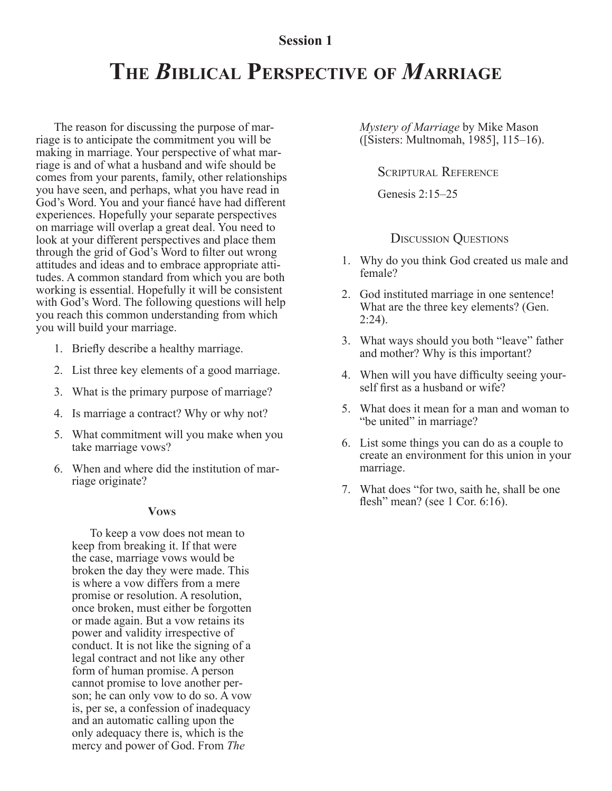### **Session 1**

# **THE** *B***IBLICAL PERSPECTIVE OF** *M***ARRIAGE**

The reason for discussing the purpose of marriage is to anticipate the commitment you will be making in marriage. Your perspective of what marriage is and of what a husband and wife should be comes from your parents, family, other relationships you have seen, and perhaps, what you have read in God's Word. You and your fiancé have had different experiences. Hopefully your separate perspectives on marriage will overlap a great deal. You need to look at your different perspectives and place them through the grid of God's Word to filter out wrong attitudes and ideas and to embrace appropriate attitudes. A common standard from which you are both working is essential. Hopefully it will be consistent with God's Word. The following questions will help you reach this common understanding from which you will build your marriage.

- 1. Briefly describe a healthy marriage.
- 2. List three key elements of a good marriage.
- 3. What is the primary purpose of marriage?
- 4. Is marriage a contract? Why or why not?
- 5. What commitment will you make when you take marriage vows?
- 6. When and where did the institution of marriage originate?

#### **VOWS**

To keep a vow does not mean to keep from breaking it. If that were the case, marriage vows would be broken the day they were made. This is where a vow differs from a mere promise or resolution. A resolution, once broken, must either be forgotten or made again. But a vow retains its power and validity irrespective of conduct. It is not like the signing of a legal contract and not like any other form of human promise. A person cannot promise to love another person; he can only vow to do so. A vow is, per se, a confession of inadequacy and an automatic calling upon the only adequacy there is, which is the mercy and power of God. From *The*

*Mystery of Marriage* by Mike Mason ([Sisters: Multnomah, 1985], 115–16).

SCRIPTURAL REFERENCE

Genesis 2:15–25

#### DISCUSSION QUESTIONS

- 1. Why do you think God created us male and female?
- 2. God instituted marriage in one sentence! What are the three key elements? (Gen. 2:24).
- 3. What ways should you both "leave" father and mother? Why is this important?
- 4. When will you have difficulty seeing yourself first as a husband or wife?
- 5. What does it mean for a man and woman to "be united" in marriage?
- 6. List some things you can do as a couple to create an environment for this union in your marriage.
- 7. What does "for two, saith he, shall be one flesh" mean? (see 1 Cor. 6:16).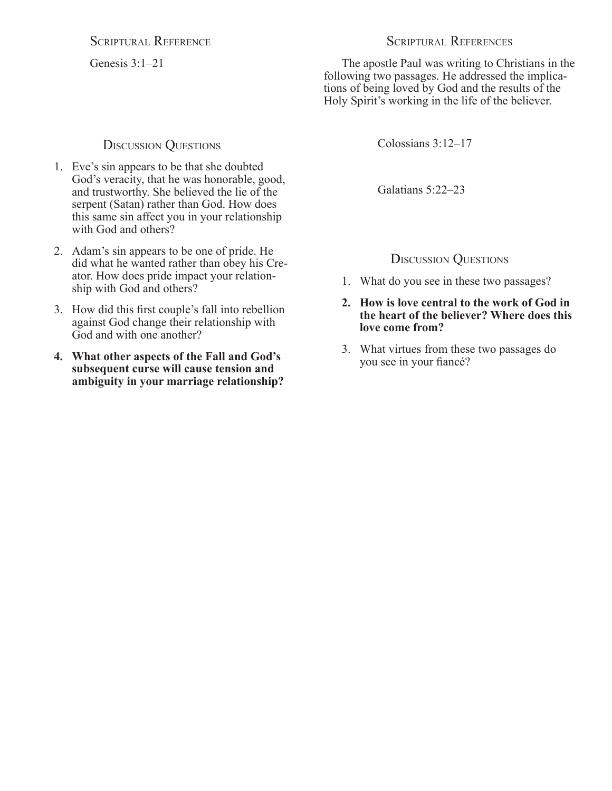SCRIPTURAL REFERENCE

Genesis 3:1–21

### DISCUSSION QUESTIONS

- 1. Eve's sin appears to be that she doubted God's veracity, that he was honorable, good, and trustworthy. She believed the lie of the serpent (Satan) rather than God. How does this same sin affect you in your relationship with God and others?
- 2. Adam's sin appears to be one of pride. He did what he wanted rather than obey his Creator. How does pride impact your relationship with God and others?
- 3. How did this first couple's fall into rebellion against God change their relationship with God and with one another?
- **4. What other aspects of the Fall and God's subsequent curse will cause tension and ambiguity in your marriage relationship?**

The apostle Paul was writing to Christians in the following two passages. He addressed the implications of being loved by God and the results of the Holy Spirit's working in the life of the believer.

Colossians 3:12–17

Galatians 5:22–23

## DISCUSSION QUESTIONS

- 1. What do you see in these two passages?
- **2. How is love central to the work of God in the heart of the believer? Where does this love come from?**
- 3. What virtues from these two passages do you see in your fiancé?